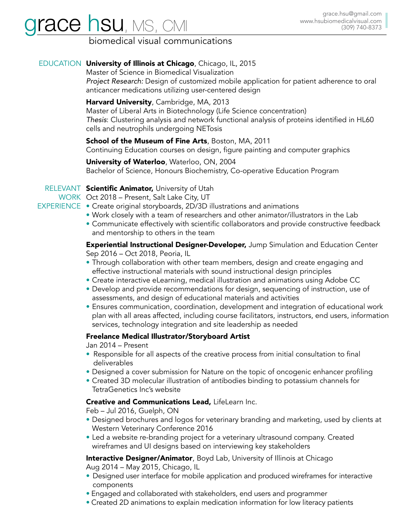# **race hsu**, MS, CMI

# biomedical visual communications

## EDUCATION University of Illinois at Chicago, Chicago, IL, 2015

Master of Science in Biomedical Visualization

*Project Research:* Design of customized mobile application for patient adherence to oral anticancer medications utilizing user-centered design

#### Harvard University, Cambridge, MA, 2013

Master of Liberal Arts in Biotechnology (Life Science concentration) *Thesis*: Clustering analysis and network functional analysis of proteins identified in HL60 cells and neutrophils undergoing NETosis

School of the Museum of Fine Arts, Boston, MA, 2011

Continuing Education courses on design, figure painting and computer graphics

University of Waterloo, Waterloo, ON, 2004 Bachelor of Science, Honours Biochemistry, Co-operative Education Program

## RELEVANT Scientific Animator, University of Utah

WORK Oct 2018 – Present, Salt Lake City, UT

- EXPERIENCE Create original storyboards, 2D/3D illustrations and animations
	- Work closely with a team of researchers and other animator/illustrators in the Lab
	- Communicate effectively with scientific collaborators and provide constructive feedback and mentorship to others in the team

**Experiential Instructional Designer-Developer,** Jump Simulation and Education Center Sep 2016 – Oct 2018, Peoria, IL

- Through collaboration with other team members, design and create engaging and effective instructional materials with sound instructional design principles
- Create interactive eLearning, medical illustration and animations using Adobe CC
- Develop and provide recommendations for design, sequencing of instruction, use of assessments, and design of educational materials and activities
- Ensures communication, coordination, development and integration of educational work plan with all areas affected, including course facilitators, instructors, end users, information services, technology integration and site leadership as needed

#### Freelance Medical Illustrator/Storyboard Artist

Jan 2014 – Present

- Responsible for all aspects of the creative process from initial consultation to final deliverables
- Designed a cover submission for Nature on the topic of oncogenic enhancer profiling
- Created 3D molecular illustration of antibodies binding to potassium channels for TetraGenetics Inc's website

#### Creative and Communications Lead, LifeLearn Inc.

Feb – Jul 2016, Guelph, ON

- Designed brochures and logos for veterinary branding and marketing, used by clients at Western Veterinary Conference 2016
- Led a website re-branding project for a veterinary ultrasound company. Created wireframes and UI designs based on interviewing key stakeholders

**Interactive Designer/Animator**, Boyd Lab, University of Illinois at Chicago Aug 2014 – May 2015, Chicago, IL

- Designed user interface for mobile application and produced wireframes for interactive components
- Engaged and collaborated with stakeholders, end users and programmer
- Created 2D animations to explain medication information for low literacy patients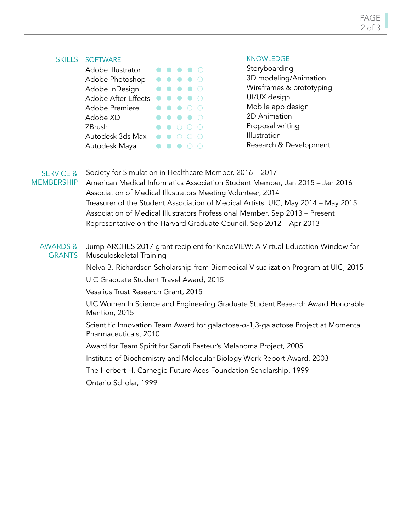